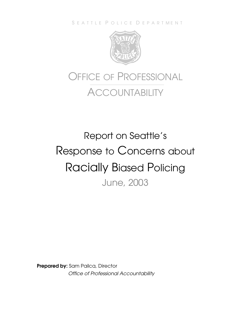S E A T T L E P O L I C E D E P A R T M E N T



# OFFICE OF PROFESSIONAL **ACCOUNTABILITY**

# Report on Seattle's Response to Concerns about Racially Biased Policing June, 2003

**Prepared by:** Sam Pailca, Director *Office of Professional Accountability*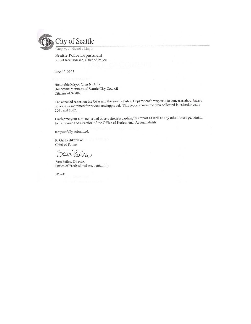

**Seattle Police Department** R. Gil Kerlikowske, Chief of Police

June 30, 2003

Honorable Mayor Greg Nickels Honorable Members of Seattle City Council Citizens of Seattle

The attached report on the OPA and the Seattle Police Department's response to concerns about biased policing is submitted for review and approval. This report covers the data collected in calendar years 2001 and 2002.

I welcome your comments and observations regarding this report as well as any other issues pertaining to the course and direction of the Office of Professional Accountability

Respectfully submitted,

R. Gil Kerlikowske Chief of Police

Jain Pailca è.

Sam Pailca, Director Office of Professional Accountability

SP:kmk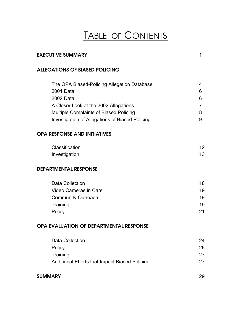## TABLE OF CONTENTS

| <b>EXECUTIVE SUMMARY</b><br>1                                                                                                                                                                                      |                                         |  |  |
|--------------------------------------------------------------------------------------------------------------------------------------------------------------------------------------------------------------------|-----------------------------------------|--|--|
| <b>ALLEGATIONS OF BIASED POLICING</b>                                                                                                                                                                              |                                         |  |  |
| The OPA Biased-Policing Allegation Database<br>2001 Data<br>2002 Data<br>A Closer Look at the 2002 Allegations<br><b>Multiple Complaints of Biased Policing</b><br>Investigation of Allegations of Biased Policing | 4<br>6<br>6<br>$\overline{7}$<br>8<br>9 |  |  |
| <b>OPA RESPONSE AND INITIATIVES</b>                                                                                                                                                                                |                                         |  |  |
| Classification<br>Investigation                                                                                                                                                                                    | 12<br>13                                |  |  |
| <b>DEPARTMENTAL RESPONSE</b>                                                                                                                                                                                       |                                         |  |  |
| <b>Data Collection</b><br><b>Video Cameras in Cars</b><br><b>Community Outreach</b><br>Training<br>Policy                                                                                                          | 18<br>19<br>19<br>19<br>21              |  |  |
| OPA EVALUATION OF DEPARTMENTAL RESPONSE                                                                                                                                                                            |                                         |  |  |
| <b>Data Collection</b><br>Policy<br>Training<br><b>Additional Efforts that Impact Biased Policing</b>                                                                                                              | 24<br>26<br>27<br>27                    |  |  |
| <b>SUMMARY</b><br>29                                                                                                                                                                                               |                                         |  |  |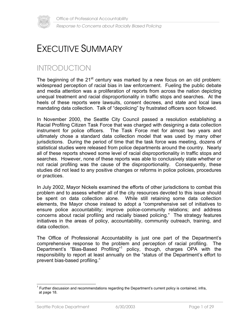

## EXECUTIVE SUMMARY

### INTRODUCTION

The beginning of the  $21<sup>st</sup>$  century was marked by a new focus on an old problem: widespread perception of racial bias in law enforcement. Fueling the public debate and media attention was a proliferation of reports from across the nation depicting unequal treatment and racial disproportionality in traffic stops and searches. At the heels of these reports were lawsuits, consent decrees, and state and local laws mandating data collection. Talk of "depolicing" by frustrated officers soon followed.

In November 2000, the Seattle City Council passed a resolution establishing a Racial Profiling Citizen Task Force that was charged with designing a data collection instrument for police officers. The Task Force met for almost two years and ultimately chose a standard data collection model that was used by many other jurisdictions. During the period of time that the task force was meeting, dozens of statistical studies were released from police departments around the country. Nearly all of these reports showed some level of racial disproportionality in traffic stops and searches. However, none of these reports was able to conclusively state whether or not racial profiling was the cause of the disproportionality. Consequently, these studies did not lead to any positive changes or reforms in police policies, procedures or practices.

In July 2002, Mayor Nickels examined the efforts of other jurisdictions to combat this problem and to assess whether all of the city resources devoted to this issue should be spent on data collection alone. While still retaining some data collection elements, the Mayor chose instead to adopt a "comprehensive set of initiatives to ensure police accountability; improve police-community relations; and address concerns about racial profiling and racially biased policing." The strategy features initiatives in the areas of policy, accountability, community outreach, training, and data collection.

The Office of Professional Accountability is just one part of the Department's comprehensive response to the problem and perception of racial profiling. The Department's "Bias-Based Profiling"<sup>1</sup> policy, though, charges OPA with the responsibility to report at least annually on the "status of the Department's effort to prevent bias-based profiling."

 $\overline{a}$ <sup>1</sup> Further discussion and recommendations regarding the Department's current policy is contained, infra, at page 18.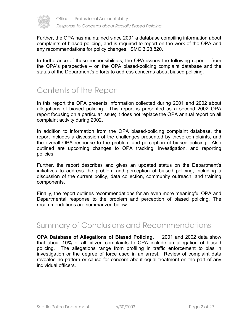

Further, the OPA has maintained since 2001 a database compiling information about complaints of biased policing, and is required to report on the work of the OPA and any recommendations for policy changes. SMC 3.28.820.

In furtherance of these responsibilities, the OPA issues the following report – from the OPA's perspective – on the OPA biased-policing complaint database and the status of the Department's efforts to address concerns about biased policing.

### Contents of the Report

In this report the OPA presents information collected during 2001 and 2002 about allegations of biased policing. This report is presented as a second 2002 OPA report focusing on a particular issue; it does not replace the OPA annual report on all complaint activity during 2002.

In addition to information from the OPA biased-policing complaint database, the report includes a discussion of the challenges presented by these complaints, and the overall OPA response to the problem and perception of biased policing. Also outlined are upcoming changes to OPA tracking, investigation, and reporting policies.

Further, the report describes and gives an updated status on the Department's initiatives to address the problem and perception of biased policing, including a discussion of the current policy, data collection, community outreach, and training components.

Finally, the report outlines recommendations for an even more meaningful OPA and Departmental response to the problem and perception of biased policing. The recommendations are summarized below.

### Summary of Conclusions and Recommendations

**OPA Database of Allegations of Biased Policing.** 2001 and 2002 data show that about **10%** of all citizen complaints to OPA include an allegation of biased policing. The allegations range from profiling in traffic enforcement to bias in investigation or the degree of force used in an arrest. Review of complaint data revealed no pattern or cause for concern about equal treatment on the part of any individual officers.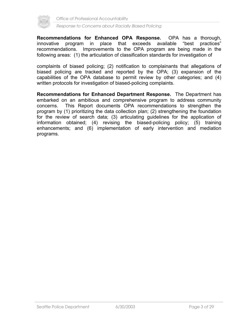

**Recommendations for Enhanced OPA Response.** OPA has a thorough, innovative program in place that exceeds available "best practices" recommendations. Improvements to the OPA program are being made in the following areas: (1) the articulation of classification standards for investigation of

complaints of biased policing; (2) notification to complainants that allegations of biased policing are tracked and reported by the OPA; (3) expansion of the capabilities of the OPA database to permit review by other categories; and (4) written protocols for investigation of biased-policing complaints.

**Recommendations for Enhanced Department Response.** The Department has embarked on an ambitious and comprehensive program to address community concerns. This Report documents OPA recommendations to strengthen the program by (1) prioritizing the data collection plan; (2) strengthening the foundation for the review of search data; (3) articulating guidelines for the application of information obtained; (4) revising the biased-policing policy; (5) training enhancements; and (6) implementation of early intervention and mediation programs.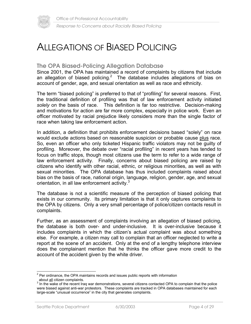

### ALLEGATIONS OF BIASED POLICING

#### **The OPA Biased-Policing Allegation Database**

Since 2001, the OPA has maintained a record of complaints by citizens that include an allegation of biased policing.<sup>2</sup> The database includes allegations of bias on account of gender, age, and sexual orientation as well as race and ethnicity.

The term "biased policing" is preferred to that of "profiling" for several reasons. First, the traditional definition of profiling was that of law enforcement activity initiated *solely* on the basis of race. This definition is far too restrictive. Decision-making and motivations for action are far more complex, especially in police work. Even an officer motivated by racial prejudice likely considers more than the single factor of race when taking law enforcement action.

In addition, a definition that prohibits enforcement decisions based "solely" on race would exclude actions based on reasonable suspicion or probable cause plus race. So, even an officer who only ticketed Hispanic traffic violators may not be guilty of profiling. Moreover, the debate over "racial profiling" in recent years has tended to focus on traffic stops, though most citizens use the term to refer to a wide range of law enforcement activity. Finally, concerns about biased policing are raised by citizens who identify with other racial, ethnic, or religious minorities, as well as with sexual minorities. The OPA database has thus included complaints raised about bias on the basis of race, national origin, language, religion, gender, age, and sexual orientation, in all law enforcement activity.<sup>3</sup>

The database is not a scientific measure of the perception of biased policing that exists in our community. Its primary limitation is that it only captures complaints to the OPA by citizens. Only a very small percentage of police/citizen contacts result in complaints.

Further, as an assessment of complaints involving an allegation of biased policing, the database is both over- and under-inclusive. It is over-inclusive because it includes complaints in which the citizen's actual complaint was about something else. For example, a citizen may call to complain that an officer neglected to write a report at the scene of an accident. Only at the end of a lengthy telephone interview does the complainant mention that he thinks the officer gave more credit to the account of the accident given by the white driver.

<sup>&</sup>lt;sup>2</sup> Per ordinance, the OPA maintains records and issues public reports with information about all citizen complaints.

In the wake of the recent Iraq war demonstrations, several citizens contacted OPA to complain that the police were biased against anti-war protestors. These complaints are tracked in OPA databases maintained for each large-scale "unusual occurrence" in the city that generates complaints.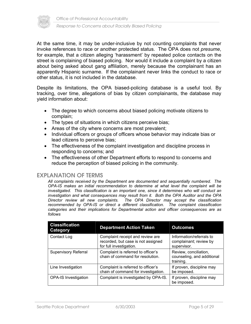

At the same time, it may be under-inclusive by not counting complaints that never invoke references to race or another protected status. The OPA does not *presume*, for example, that a citizen alleging 'harassment' by repeated police contacts on the street is complaining of biased policing. Nor would it include a complaint by a citizen about being asked about gang affiliation, merely because the complainant has an apparently Hispanic surname. If the complainant never links the conduct to race or other status, it is not included in the database.

Despite its limitations, the OPA biased-policing database is a useful tool. By tracking, over time, allegations of bias by citizen complainants, the database may yield information about:

- The degree to which concerns about biased policing motivate citizens to complain;
- The types of situations in which citizens perceive bias;
- Areas of the city where concerns are most prevalent;
- Individual officers or groups of officers whose behavior may indicate bias or lead citizens to perceive bias;
- The effectiveness of the complaint investigation and discipline process in responding to concerns; and
- The effectiveness of other Department efforts to respond to concerns and reduce the perception of biased policing in the community.

#### **EXPLANATION OF TERMS**

*All complaints received by the Department are documented and sequentially numbered. The OPA-IS makes an initial recommendation to determine at what level the complaint will be investigated. This classification is an important one, since it determines who will conduct an investigation and what consequences may result from it. Both the OPA Auditor and the OPA Director review all new complaints. The OPA Director may accept the classification recommended by OPA-IS or direct a different classification. The complaint classification categories and their implications for Departmental action and officer consequences are as follows* 

| <b>Classification</b><br>Category | <b>Department Action Taken</b>                                                                    | <b>Outcomes</b>                                                   |
|-----------------------------------|---------------------------------------------------------------------------------------------------|-------------------------------------------------------------------|
| Contact Log                       | Complaint receipt and review are<br>recorded, but case is not assigned<br>for full investigation. | Information/referrals to<br>complainant; review by<br>supervisor. |
| <b>Supervisory Referral</b>       | Complaint is referred to officer's<br>chain of command for resolution.                            | Review, conciliation,<br>counseling, and additional<br>training.  |
| Line Investigation                | Complaint is referred to officer's<br>chain of command for investigation.                         | If proven, discipline may<br>be imposed.                          |
| <b>OPA-IS Investigation</b>       | Complaint is investigated by OPA-IS.                                                              | If proven, discipline may<br>be imposed.                          |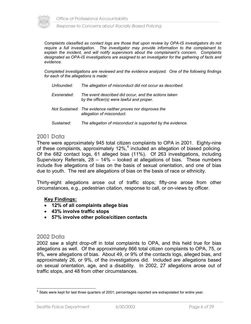

Office of Professional Accountability

*Response to Concerns about Racially Biased Policing*

*Complaints classified as contact logs are those that upon review by OPA-IS investigators do not require a full investigation. The investigator may provide information to the complainant to explain the incident, and will notify supervisors about the complainant's concern. Complaints designated as OPA-IS investigations are assigned to an investigator for the gathering of facts and evidence.* 

*Completed investigations are reviewed and the evidence analyzed. One of the following findings for each of the allegations is made:* 

| Unfounded:  | The allegation of misconduct did not occur as described.                                          |
|-------------|---------------------------------------------------------------------------------------------------|
| Exonerated: | The event described did occur, and the actions taken<br>by the officer(s) were lawful and proper. |
|             | Not Sustained: The evidence neither proves nor disproves the<br>allegation of misconduct.         |
| Sustained:  | The allegation of misconduct is supported by the evidence.                                        |

#### **2001 Data**

There were approximately 945 total citizen complaints to OPA in 2001. Eighty-nine of these complaints, approximately 12%,<sup>4</sup> included an allegation of biased policing. Of the 682 contact logs, 61 alleged bias (11%). Of 263 investigations, including Supervisory Referrals, 28 – 14% – looked at allegations of bias. These numbers include five allegations of bias on the basis of sexual orientation, and one of bias due to youth. The rest are allegations of bias on the basis of race or ethnicity.

Thirty-eight allegations arose out of traffic stops; fifty-one arose from other circumstances, e.g., pedestrian citation, response to call, or on-views by officer.

#### **Key Findings:**

- **12% of all complaints allege bias**
- **43% involve traffic stops**
- **57% involve other police/citizen contacts**

#### **2002 Data**

2002 saw a slight drop-off in total complaints to OPA, and this held true for bias allegations as well. Of the approximately 866 total citizen complaints to OPA, 75, or 9%, were allegations of bias. About 49, or 9% of the contacts logs, alleged bias, and approximately 26, or 9%, of the investigations did. Included are allegations based on sexual orientation, age, and a disability. In 2002, 27 allegations arose out of traffic stops, and 48 from other circumstances.

 4 Stats were kept for last three quarters of 2001; percentages reported are extrapolated for entire year.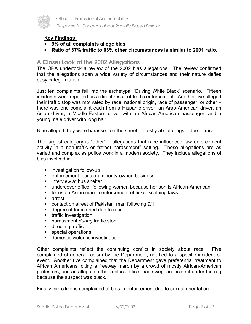

Office of Professional Accountability

*Response to Concerns about Racially Biased Policing*

#### **Key Findings:**

- **9% of all complaints allege bias**
- **Ratio of 37% traffic to 63% other circumstances is similar to 2001 ratio.**

#### **A Closer Look at the 2002 Allegations**

The OPA undertook a review of the 2002 bias allegations. The review confirmed that the allegations span a wide variety of circumstances and their nature defies easy categorization.

Just ten complaints fell into the archetypal "Driving While Black" scenario. Fifteen incidents were reported as a direct result of traffic enforcement. Another five alleged their traffic stop was motivated by race, national origin, race of passenger, or other – there was one complaint each from a Hispanic driver, an Arab-American driver, an Asian driver; a Middle-Eastern driver with an African-American passenger; and a young male driver with long hair.

Nine alleged they were harassed on the street – mostly about drugs – due to race.

The largest category is "other" – allegations that race influenced law enforcement activity in a non-traffic or "street harassment" setting. These allegations are as varied and complex as police work in a modern society. They include allegations of bias involved in:

- **EXECUTE:** investigation follow-up
- **EXECUTE:** enforcement focus on minority-owned business
- **EXECUTE:** interview at bus shelter
- undercover officer following women because her son is African-American
- focus on Asian man in enforcement of ticket-scalping laws
- **E** arrest
- contact on street of Pakistani man following 9/11
- degree of force used due to race
- **traffic investigation**
- **harassment** *during* traffic stop
- **directing traffic**
- **special operations**
- **domestic violence investigation**

Other complaints reflect the continuing conflict in society about race. Five complained of general racism by the Department, not tied to a specific incident or event. Another five complained that the Department gave preferential treatment to African Americans, citing a freeway march by a crowd of mostly African-American protestors, and an allegation that a black officer had swept an incident under the rug because the suspect was black.

Finally, six citizens complained of bias in enforcement due to sexual orientation.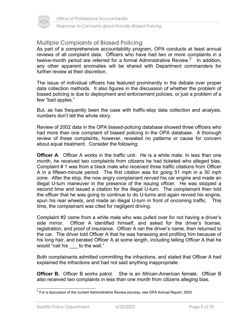

#### **Multiple Complaints of Biased Policing**

As part of a comprehensive accountability program, OPA conducts at least annual reviews of all complaint data. Officers who have had two or more complaints in a twelve-month period are referred for a formal Administrative Review.<sup>5</sup> In addition, any other apparent anomalies will be shared with Department commanders for further review at their discretion.

The issue of individual officers has featured prominently in the debate over proper data collection methods. It also figures in the discussion of whether the problem of biased policing is due to deployment and enforcement policies, or just a problem of a few "bad apples."

But, as has frequently been the case with traffic-stop data collection and analysis, numbers don't tell the whole story.

Review of 2002 data in the OPA biased-policing database showed three officers who had more than one complaint of biased policing in the OPA database. A thorough review of these complaints, however, revealed no patterns or cause for concern about equal treatment. Consider the following:

**Officer A.** Officer A works in the traffic unit. He is a white male. In less than one month, he received two complaints from citizens he had ticketed who alleged bias. Complaint # 1 was from a black male who received three traffic citations from Officer A in a fifteen-minute period. The first citation was for going 51 mph in a 30 mph zone. After the stop, the now angry complainant revved his car engine and made an illegal U-turn maneuver in the presence of the issuing officer. He was stopped a second time and issued a citation for the illegal U-turn. The complainant then told the officer that he was going to continue to do U-turns and again revved his engine, spun his rear wheels, and made an illegal U-turn in front of oncoming traffic. This time, the complainant was cited for negligent driving.

Complaint #2 came from a white male who was pulled over for not having a driver's side mirror. Officer A identified himself, and asked for the driver's license, registration, and proof of insurance. Officer A ran the driver's name, then returned to the car. The driver told Officer A that he was harassing and profiling him because of his long hair, and berated Officer A at some length, including telling Officer A that he would "nail his to the wall."

Both complainants admitted committing the infractions, and stated that Officer A had explained the infractions and had not said anything inappropriate.

**Officer B.** Officer B works patrol. She is an African-American female. Officer B also received two complaints in less than one month from citizens alleging bias.

 5 For a discussion of the current Administrative Review process, see OPA Annual Report, 2003.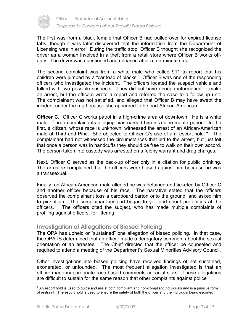

Office of Professional Accountability

*Response to Concerns about Racially Biased Policing*

The first was from a black female that Officer B had pulled over for expired license tabs, though it was later discovered that the information from the Department of Licensing was in error. During the traffic stop, Officer B thought she recognized the driver as a woman involved in a theft from a retail store where Officer B works offduty. The driver was questioned and released after a ten-minute stop.

The second complaint was from a white male who called 911 to report that his children were jumped by a "car load of blacks." Officer B was one of the responding officers who investigated the incident. The officers located the suspect vehicle and talked with two possible suspects. They did not have enough information to make an arrest, but the officers wrote a report and referred the case to a follow-up unit. The complainant was not satisfied, and alleged that Officer B may have swept the incident under the rug because she appeared to be part African-American.

**Officer C.** Officer C works patrol in a high-crime area of downtown. He is a white male. Three complainants alleging bias named him in a nine-month period. In the first, a citizen, whose race is unknown, witnessed the arrest of an African-American male at Third and Pine. She objected to Officer C's use of an "escort hold."<sup>6</sup> The complainant had not witnessed the circumstances that led to the arrest, but just felt that once a person was in handcuffs they should be free to walk on their own accord. The person taken into custody was arrested on a felony warrant and drug charges.

Next, Officer C served as the back-up officer only in a citation for public drinking. The arrestee complained that the officers were biased against him because he was a transsexual.

Finally, an African-American male alleged he was detained and ticketed by Officer C and another officer because of his race. The narrative stated that the officers observed the complainant toss a cardboard carton onto the ground, and asked him to pick it up. The complainant instead began to yell and shout profanities at the officers. The officers cited the subject, who has made multiple complaints of profiling against officers, for littering.

#### **Investigation of Allegations of Biased Policing**

The OPA has upheld or "sustained" one allegation of biased policing. In that case, the OPA-IS determined that an officer made a derogatory comment about the sexual orientation of an arrestee. The Chief directed that the officer be counseled and required to attend a meeting of the Department's Sexual Minorities Advisory Council.

Other investigations into biased policing have received findings of not sustained, exonerated, or unfounded. The most frequent allegation investigated is that an officer made inappropriate race-based comments or racial slurs. These allegations are difficult to sustain for the same reason that other complaints against police

 6 An escort hold is used to guide and assist both compliant and non-compliant individuals and is a passive form of restraint. The escort hold is used to ensure the safety of both the officer and the individual being escorted.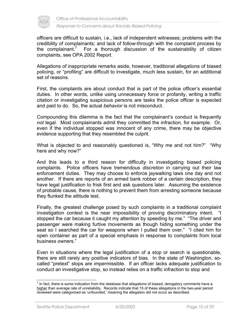

officers are difficult to sustain, i.e., lack of independent witnesses; problems with the credibility of complainants; and lack of follow-through with the complaint process by the complainant. $'$  For a thorough discussion of the sustainability of citizen complaints, see OPA 2002 Report.

Allegations of inappropriate remarks aside, however, traditional allegations of biased policing, or "profiling" are difficult to investigate, much less sustain, for an additional set of reasons.

First, the complaints are about conduct that is part of the police officer's essential duties. In other words, unlike using unnecessary force or profanity, writing a traffic citation or investigating suspicious persons are tasks the police officer is expected and paid to do. So, the actual *behavior* is not misconduct.

Compounding this dilemma is the fact that the complainant's conduct is frequently *not* legal. Most complainants admit they committed the infraction, for example. Or, even if the individual stopped was innocent of any crime, there may be objective evidence supporting that they resembled the culprit.

What is objected to and reasonably questioned is, "Why me and not him?" "Why here and why now?"

And this leads to a third reason for difficulty in investigating biased policing complaints. Police officers have tremendous *discretion* in carrying out their law enforcement duties. They may choose to enforce jaywalking laws one day and not another. If there are reports of an armed bank robber of a certain description, they have legal justification to frisk first and ask questions later. Assuming the existence of probable cause, there is nothing to prevent them from arresting someone because they flunked the attitude test.

Finally, the greatest challenge posed by such complaints in a traditional complaint investigation context is the near impossibility of proving discriminatory intent. "I stopped the car because it caught my attention by speeding by me." "The driver and passenger were making furtive movements as though hiding something under the seat so I searched the car for weapons when I pulled them over." "I cited him for open container as part of a special emphasis in response to complaints from local business owners."

Even in situations where the legal justification of a stop or search is questionable, there are still rarely any positive indicators of bias. In the state of Washington, socalled "pretext" stops are impermissible. If an officer lacks adequate justification to conduct an investigative stop, so instead relies on a traffic infraction to stop and

 7 In fact, there is some indication from the database that allegations of biased, derogatory comments have a higher than average rate of unreliability. Records indicate that 15 of these allegations in the two-year period reviewed were categorized as 'unfounded,' meaning the allegation did not occur as described.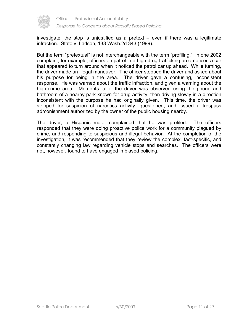

investigate, the stop is unjustified as a pretext – even if there was a legitimate infraction. State v. Ladson, 138 Wash.2d 343 (1999).

But the term "pretextual" is not interchangeable with the term "profiling." In one 2002 complaint, for example, officers on patrol in a high drug-trafficking area noticed a car that appeared to turn around when it noticed the patrol car up ahead. While turning, the driver made an illegal maneuver. The officer stopped the driver and asked about his purpose for being in the area. The driver gave a confusing, inconsistent response. He was warned about the traffic infraction, and given a warning about the high-crime area. Moments later, the driver was observed using the phone and bathroom of a nearby park known for drug activity, then driving slowly in a direction inconsistent with the purpose he had originally given. This time, the driver was stopped for suspicion of narcotics activity, questioned, and issued a trespass admonishment authorized by the owner of the public housing nearby.

The driver, a Hispanic male, complained that he was profiled. The officers responded that they were doing proactive police work for a community plagued by crime, and responding to suspicious and illegal behavior. At the completion of the investigation, it was recommended that they review the complex, fact-specific, and constantly changing law regarding vehicle stops and searches. The officers were not, however, found to have engaged in biased policing.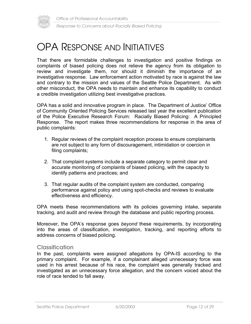



## OPA RESPONSE AND INITIATIVES

That there are formidable challenges to investigation and positive findings on complaints of biased policing does not relieve the agency from its obligation to review and investigate them, nor should it diminish the importance of an investigative response. Law enforcement action motivated by race is against the law and contrary to the mission and values of the Seattle Police Department. As with other misconduct, the OPA needs to maintain and enhance its capability to conduct a credible investigation utilizing best investigative practices.

OPA has a solid and innovative program in place. The Department of Justice' Office of Community Oriented Policing Services released last year the excellent publication of the Police Executive Research Forum: Racially Biased Policing: A Principled Response. The report makes three recommendations for response in the area of public complaints:

- 1. Regular reviews of the complaint reception process to ensure complainants are not subject to any form of discouragement, intimidation or coercion in filing complaints;
- 2. That complaint systems include a separate category to permit clear and accurate monitoring of complaints of biased policing, with the capacity to identify patterns and practices; and
- 3. That regular audits of the complaint system are conducted, comparing performance against policy and using spot-checks and reviews to evaluate effectiveness and efficiency.

OPA meets these recommendations with its policies governing intake, separate tracking, and audit and review through the database and public reporting process.

Moreover, the OPA's response goes *beyond* these requirements, by incorporating into the areas of classification, investigation, tracking, and reporting efforts to address concerns of biased policing.

#### **Classification**

In the past, complaints were assigned allegations by OPA-IS according to the primary complaint. For example, if a complainant alleged unnecessary force was used in his arrest because of his race, the complaint was generally tracked and investigated as an unnecessary force allegation, and the concern voiced about the role of race tended to fall away.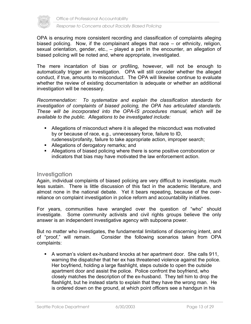

Office of Professional Accountability

#### *Response to Concerns about Racially Biased Policing*

OPA is ensuring more consistent recording and classification of complaints alleging biased policing. Now, if the complainant alleges that race – or ethnicity, religion, sexual orientation, gender, etc., – played a part in the encounter, an allegation of biased policing will be noted and, where appropriate, investigated.

The mere incantation of bias or profiling, however, will not be enough to automatically trigger an investigation. OPA will still consider whether the alleged conduct, if true, amounts to misconduct. The OPA will likewise continue to evaluate whether the review of existing documentation is adequate or whether an additional investigation will be necessary.

*Recommendation: To systematize and explain the classification standards for investigation of complaints of biased policing, the OPA has articulated standards. These will be incorporated into the OPA-IS procedures manual, which will be available to the public. Allegations to be investigated include:* 

- Allegations of misconduct where it is alleged the misconduct was motivated by or because of race, e.g., unnecessary force, failure to ID, rudeness/profanity, failure to take appropriate action, improper search;
- **Allegations of derogatory remarks; and**
- Allegations of biased policing where there is some positive corroboration or indicators that bias may have motivated the law enforcement action.

#### **Investigation**

Again, individual complaints of biased policing are very difficult to investigate, much less sustain. There is little discussion of this fact in the academic literature, and almost none in the national debate. Yet it bears repeating, because of the overreliance on complaint investigation in police reform and accountability initiatives.

For years, communities have wrangled over the question of "who" should investigate. Some community activists and civil rights groups believe the only answer is an independent investigative agency with subpoena power.

But no matter who investigates, the fundamental limitations of discerning intent, and of "proof," will remain. Consider the following scenarios taken from OPA complaints:

 A woman's violent ex-husband knocks at her apartment door. She calls 911, warning the dispatcher that her ex has threatened violence against the police. Her boyfriend, holding a large flashlight, steps outside to open the outside apartment door and assist the police. Police confront the boyfriend, who closely matches the description of the ex-husband. They tell him to drop the flashlight, but he instead starts to explain that they have the wrong man. He is ordered down on the ground, at which point officers see a handgun in his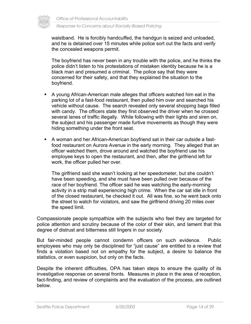

waistband. He is forcibly handcuffed, the handgun is seized and unloaded, and he is detained over 15 minutes while police sort out the facts and verify the concealed weapons permit.

 The boyfriend has never been in any trouble with the police, and he thinks the police didn't listen to his protestations of mistaken identity because he is a black man and presumed a criminal. The police say that they were concerned for their safety, and that they explained the situation to the boyfriend.

- A young African-American male alleges that officers watched him eat in the parking lot of a fast-food restaurant, then pulled him over and searched his vehicle without cause. The search revealed only several shopping bags filled with candy. The officers state they first observed the driver when he crossed several lanes of traffic illegally. While following with their lights and siren on, the subject and his passenger made furtive movements as though they were hiding something under the front seat.
- A woman and her African-American boyfriend sat in their car outside a fastfood restaurant on Aurora Avenue in the early morning. They alleged that an officer watched them, drove around and watched the boyfriend use his employee keys to open the restaurant, and then, after the girlfriend left for work, the officer pulled her over.

 The girlfriend said she wasn't looking at her speedometer, but she couldn't have been speeding, and she must have been pulled over because of the race of her boyfriend. The officer said he was watching the early-morning activity in a strip mall experiencing high crime. When the car sat idle in front of the closed restaurant, he checked it out. All was fine, so he went back onto the street to watch for violators, and saw the girlfriend driving 20 miles over the speed limit.

Compassionate people sympathize with the subjects who feel they are targeted for police attention and scrutiny because of the color of their skin, and lament that this degree of distrust and bitterness still lingers in our society.

But fair-minded people cannot condemn officers on such evidence. Public employees who may only be disciplined for "just cause" are entitled to a review that finds a violation based not on empathy for the subject, a desire to balance the statistics, or even suspicion, but only on the facts.

Despite the inherent difficulties, OPA has taken steps to ensure the quality of its investigative response on several fronts. Measures in place in the area of reception, fact-finding, and review of complaints and the evaluation of the process, are outlined below.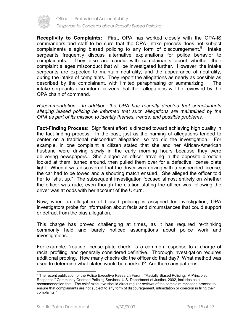

Office of Professional Accountability

*Response to Concerns about Racially Biased Policing*

**Receptivity to Complaints:** First, OPA has worked closely with the OPA-IS commanders and staff to be sure that the OPA intake process does not subject complainants alleging biased policing to any form of discouragement. $8$  Intake sergeants frequently discuss alternative explanations for police behavior to complainants. They also are candid with complainants about whether their complaint alleges misconduct that will be investigated further. However, the intake sergeants are expected to maintain neutrality, and the appearance of neutrality, during the intake of complaints. They report the allegations as nearly as possible as described by the complainant, with limited paraphrasing or summarizing. The intake sergeants also inform citizens that their allegations will be reviewed by the OPA chain of command.

*Recommendation: In addition, the OPA has recently directed that complainants alleging biased policing be informed that such allegations are maintained by the OPA as part of its mission to identify themes, trends, and possible problems.* 

**Fact-Finding Process:** Significant effort is directed toward achieving high quality in the fact-finding process. In the past, just as the naming of allegations tended to center on a traditional misconduct allegation, so too did the investigation. For example, in one complaint a citizen stated that she and her African-American husband were driving slowly in the early morning hours because they were delivering newspapers. She alleged an officer traveling in the opposite direction looked at them, turned around, then pulled them over for a defective license plate light. When it was discovered that the driver was driving with a suspended license, the car had to be towed and a shouting match ensued. She alleged the officer told her to "shut up." The subsequent investigation focused almost entirely on whether the officer was rude, even though the citation stating the officer was following the driver was at odds with her account of the U-turn.

Now, when an allegation of biased policing is assigned for investigation, OPA investigators probe for information about facts and circumstances that could support or detract from the bias allegation.

This charge has proved challenging at times, as it has required re-thinking commonly held and barely noticed assumptions about police work and investigations.

For example, "routine license plate check" is a common response to a charge of racial profiling, and generally considered definitive. Thorough investigation requires additional probing. How many checks did the officer do that day? What method was used to determine what plates would be checked? Are there any patterns

<sup>8&</sup>lt;br><sup>8</sup> The recent publication of the Police Executive Research Forum, "Racially Biased Policing: A Principled Response," Community Oriented Policing Services, U.S. Department of Justice, 2002, includes as a recommendation that: The chief executive should direct regular reviews of the complaint reception process to ensure that complainants are not subject to any form of discouragement, intimidation or coercion in filing their complaints."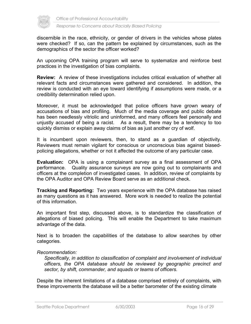

discernible in the race, ethnicity, or gender of drivers in the vehicles whose plates were checked? If so, can the pattern be explained by circumstances, such as the demographics of the sector the officer worked?

An upcoming OPA training program will serve to systematize and reinforce best practices in the investigation of bias complaints.

**Review:** A review of these investigations includes critical evaluation of whether all relevant facts and circumstances were gathered and considered. In addition, the review is conducted with an eye toward identifying if assumptions were made, or a credibility determination relied upon.

Moreover, it must be acknowledged that police officers have grown weary of accusations of bias and profiling. Much of the media coverage and public debate has been needlessly vitriolic and uninformed, and many officers feel personally and unjustly accused of being a racist. As a result, there may be a tendency to too quickly dismiss or explain away claims of bias as just another cry of wolf.

It is incumbent upon reviewers, then, to stand as a guardian of objectivity. Reviewers must remain vigilant for conscious or unconscious bias against biasedpolicing allegations, whether or not it affected the outcome of any particular case.

**Evaluation:** OPA is using a complainant survey as a final assessment of OPA performance. Quality assurance surveys are now going out to complainants and officers at the completion of investigated cases. In addition, review of complaints by the OPA Auditor and OPA Review Board serve as an additional check.

**Tracking and Reporting:** Two years experience with the OPA database has raised as many questions as it has answered. More work is needed to realize the potential of this information.

An important first step, discussed above, is to standardize the classification of allegations of biased policing. This will enable the Department to take maximum advantage of the data.

Next is to broaden the capabilities of the database to allow searches by other categories.

#### *Recommendation:*

*Specifically, in addition to classification of complaint and involvement of individual officers, the OPA database should be reviewed by geographic precinct and sector, by shift, commander, and squads or teams of officers.* 

Despite the inherent limitations of a database comprised entirely of complaints, with these improvements the database will be a better barometer of the existing climate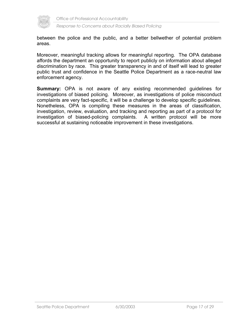

between the police and the public, and a better bellwether of potential problem areas.

Moreover, meaningful tracking allows for meaningful reporting. The OPA database affords the department an opportunity to report publicly on information about alleged discrimination by race. This greater transparency in and of itself will lead to greater public trust and confidence in the Seattle Police Department as a race-neutral law enforcement agency.

**Summary:** OPA is not aware of any existing recommended guidelines for investigations of biased policing. Moreover, as investigations of police misconduct complaints are very fact-specific, it will be a challenge to develop specific guidelines. Nonetheless, OPA is compiling these measures in the areas of classification, investigation, review, evaluation, and tracking and reporting as part of a protocol for investigation of biased-policing complaints. A written protocol will be more successful at sustaining noticeable improvement in these investigations.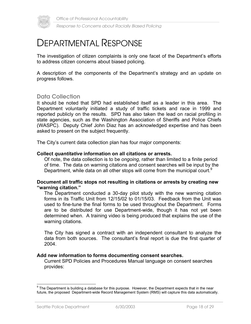

### DEPARTMENTAL RESPONSE

The investigation of citizen complaints is only one facet of the Department's efforts to address citizen concerns about biased policing.

A description of the components of the Department's strategy and an update on progress follows.

#### **Data Collection**

It should be noted that SPD had established itself as a leader in this area. The Department voluntarily initiated a study of traffic tickets and race in 1999 and reported publicly on the results. SPD has also taken the lead on racial profiling in state agencies, such as the Washington Association of Sheriffs and Police Chiefs (WASPC). Deputy Chief John Diaz has an acknowledged expertise and has been asked to present on the subject frequently.

The City's current data collection plan has four major components:

#### **Collect** *quantitative* **information on all citations or arrests.**

Of note, the data collection is to be *ongoing*, rather than limited to a finite period of time. The data on warning citations and consent searches will be input by the Department, while data on all other stops will come from the municipal court.<sup>9</sup>

#### **Document all traffic stops not resulting in citations or arrests by creating new "warning citation."**

The Department conducted a 30-day pilot study with the new warning citation forms in its Traffic Unit from 12/15/02 to 01/15/03. Feedback from the Unit was used to fine-tune the final forms to be used throughout the Department. Forms are to be distributed for use Department-wide, though it has not yet been determined when. A training video is being produced that explains the use of the warning citations.

The City has signed a contract with an independent consultant to analyze the data from both sources. The consultant's final report is due the first quarter of 2004.

#### **Add new information to forms documenting consent searches.**

Current SPD Policies and Procedures Manual language on consent searches provides:

<sup>9&</sup>lt;br><sup>9</sup> The Department is building a database for this purpose. However, the Department expects that in the near future, the proposed Department-wide Record Management System (RMS) will capture this data automatically.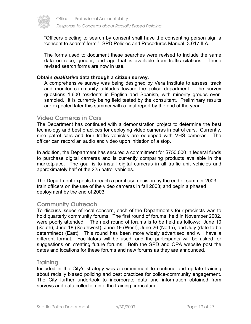

"Officers electing to search by consent shall have the consenting person sign a 'consent to search' form." SPD Policies and Procedures Manual, 3.017.II.A.

The forms used to document these searches were revised to include the same data on race, gender, and age that is available from traffic citations. These revised search forms are now in use.

#### **Obtain** *qualitative* **data through a citizen survey.**

A comprehensive survey was being designed by Vera Institute to assess, track and monitor community attitudes toward the police department. The survey questions 1,600 residents in English and Spanish, with minority groups oversampled. It is currently being field tested by the consultant. Preliminary results are expected later this summer with a final report by the end of the year.

#### **Video Cameras in Cars**

The Department has continued with a demonstration project to determine the best technology and best practices for deploying video cameras in patrol cars. Currently, nine patrol cars and four traffic vehicles are equipped with VHS cameras. The officer can record an audio and video upon initiation of a stop.

In addition, the Department has secured a commitment for \$750,000 in federal funds to purchase digital cameras and is currently comparing products available in the marketplace. The goal is to install digital cameras in all traffic unit vehicles and approximately half of the 225 patrol vehicles.

The Department expects to reach a purchase decision by the end of summer 2003; train officers on the use of the video cameras in fall 2003; and begin a phased deployment by the end of 2003.

#### **Community Outreach**

To discuss issues of local concern, each of the Department's four precincts was to hold quarterly community forums. The first round of forums, held in November 2002, were poorly attended. The next round of forums is to be held as follows: June 10 (South), June 18 (Southwest), June 19 (West), June 26 (North), and July (date to be determined) (East). This round has been more widely advertised and will have a different format. Facilitators will be used, and the participants will be asked for suggestions on creating future forums. Both the SPD and OPA website post the dates and locations for these forums and new forums as they are announced.

#### **Training**

Included in the City's strategy was a commitment to continue and update training about racially biased policing and best practices for police-community engagement. The City further undertook to incorporate data and information obtained from surveys and data collection into the training curriculum.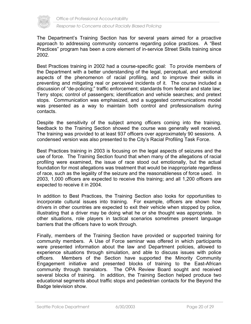

The Department's Training Section has for several years aimed for a proactive approach to addressing community concerns regarding police practices. A "Best Practices" program has been a core element of in-service Street Skills training since 2002.

Best Practices training in 2002 had a course-specific goal: To provide members of the Department with a better understanding of the legal, perceptual, and emotional aspects of the phenomenon of racial profiling, and to improve their skills in preventing and mitigating real or perceived incidents of it. The course included a discussion of "de-policing;" traffic enforcement; standards from federal and state law; Terry stops; control of passengers; identification and vehicle searches; and pretext stops. Communication was emphasized, and a suggested communications model was presented as a way to maintain both control and professionalism during contacts.

Despite the sensitivity of the subject among officers coming into the training, feedback to the Training Section showed the course was generally well received. The training was provided to at least 937 officers over approximately 90 sessions. A condensed version was also presented to the City's Racial Profiling Task Force.

Best Practices training in 2003 is focusing on the legal aspects of seizures and the use of force. The Training Section found that when many of the allegations of racial profiling were examined, the issue of race stood out emotionally, but the actual foundation for most allegations was treatment that would be inappropriate regardless of race, such as the legality of the seizure and the reasonableness of force used. In 2003, 1,000 officers are expected to receive this training; and all 1,200 officers are expected to receive it in 2004.

In addition to Best Practices, the Training Section also looks for opportunities to incorporate cultural issues into training. For example, officers are shown how drivers in other countries are expected to exit their vehicle when stopped by police, illustrating that a driver may be doing what he or she thought was appropriate. In other situations, role players in tactical scenarios sometimes present language barriers that the officers have to work through.

Finally, members of the Training Section have provided or supported training for community members. A Use of Force seminar was offered in which participants were presented information about the law and Department policies, allowed to experience situations through simulation, and able to discuss issues with police officers. Members of the Section have supported the Minority Community Engagement initiative and presented blocks of training to the East-African community through translators. The OPA Review Board sought and received several blocks of training. In addition, the Training Section helped produce two educational segments about traffic stops and pedestrian contacts for the Beyond the Badge television show.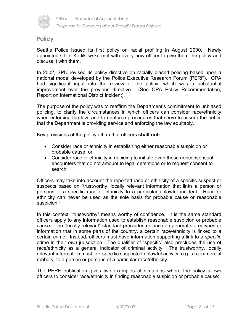

#### **Policy**

Seattle Police issued its first policy on racial profiling in August 2000. Newly appointed Chief Kerlikowske met with every new officer to give them the policy and discuss it with them.

In 2002, SPD revised its policy directive on racially biased policing based upon a national model developed by the Police Executive Research Forum (PERF). OPA had significant input into the review of the policy, which was a substantial improvement over the previous directive. (See OPA Policy Recommendation, Report on International District Incident).

The purpose of the policy was to reaffirm the Department's commitment to unbiased policing, to clarify the circumstances in which officers can consider race/ethnicity when enforcing the law, and to reinforce procedures that serve to assure the public that the Department is providing service and enforcing the law equitably.

Key provisions of the policy affirm that officers **shall not:** 

- Consider race or ethnicity in establishing either reasonable suspicion or probable cause; or
- Consider race or ethnicity in deciding to initiate even those nonconsensual encounters that do not amount to legal detentions or to request consent to search.

Officers may take into account the reported race or ethnicity of a specific suspect or suspects based on "trustworthy, locally relevant information that links a person or persons of a specific race or ethnicity to a particular unlawful incident. Race or ethnicity can never be used as the sole basis for probable cause or reasonable suspicion."

In this context, "trustworthy" means worthy of confidence. It is the same standard officers apply to any information used to establish reasonable suspicion or probable cause. The "locally relevant" standard precludes reliance on general stereotypes or information that in some parts of the country, a certain race/ethnicity is linked to a certain crime. Instead, officers must have information supporting a link to a *specific* crime in their *own* jurisdiction. The qualifier of "specific" also precludes the use of race/ethnicity as a general indicator of criminal activity. The trustworthy, locally relevant information must link specific suspected unlawful activity, e.g., a commercial robbery, to a person or persons of a particular race/ethnicity.

The PERF publication gives two examples of situations where the policy allows officers to consider race/ethnicity in finding reasonable suspicion or probable cause: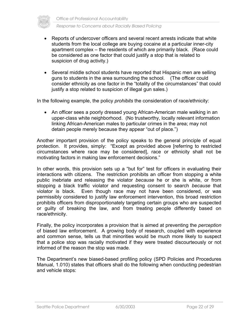

- Reports of undercover officers and several recent arrests indicate that white students from the local college are buying cocaine at a particular inner-city apartment complex – the residents of which are primarily black. (Race could be considered as one factor that could justify a stop that is related to suspicion of drug activity.)
- Several middle school students have reported that Hispanic men are selling guns to students in the area surrounding the school. (The officer could consider ethnicity as one factor in the "totality of the circumstances" that could justify a stop related to suspicion of illegal gun sales.)

In the following example, the policy *prohibits* the consideration of race/ethnicity:

• An officer sees a poorly dressed young African-American male walking in an upper-class white neighborhood. (No trustworthy, locally relevant information linking African-American males to particular crimes in the area; may not detain people merely because they appear "out of place.")

Another important provision of the policy speaks to the general principle of equal protection. It provides, simply: "Except as provided above [referring to restricted circumstances where race may be considered], race or ethnicity shall not be motivating factors in making law enforcement decisions."

In other words, this provision sets up a "but for" test for officers in evaluating their interactions with citizens. The restriction prohibits an officer from stopping a white public inebriate and releasing the violator *because* he or she is white, or from stopping a black traffic violator and requesting consent to search *because* that violator is black. Even though race may not have been considered, or was permissibly considered to justify law enforcement intervention, this broad restriction prohibits officers from disproportionately targeting certain groups who are suspected or guilty of breaking the law, and from treating people differently based on race/ethnicity.

Finally, the policy incorporates a provision that is aimed at preventing the *perception* of biased law enforcement. A growing body of research, coupled with experience and common sense, tells us that minorities would be much more likely to suspect that a police stop was racially motivated if they were treated discourteously or not informed of the reason the stop was made.

The Department's new biased-based profiling policy (SPD Policies and Procedures Manual, 1.010) states that officers shall do the following when conducting pedestrian and vehicle stops: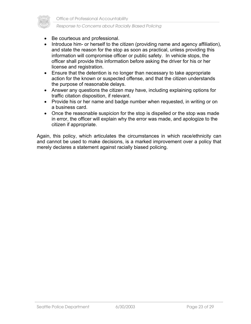

- Be courteous and professional.
- Introduce him- or herself to the citizen (providing name and agency affiliation), and state the reason for the stop as soon as practical, unless providing this information will compromise officer or public safety. In vehicle stops, the officer shall provide this information before asking the driver for his or her license and registration.
- Ensure that the detention is no longer than necessary to take appropriate action for the known or suspected offense, and that the citizen understands the purpose of reasonable delays.
- Answer any questions the citizen may have, including explaining options for traffic citation disposition, if relevant.
- Provide his or her name and badge number when requested, in writing or on a business card.
- Once the reasonable suspicion for the stop is dispelled or the stop was made in error, the officer will explain why the error was made, and apologize to the citizen if appropriate.

Again, this policy, which articulates the circumstances in which race/ethnicity can and cannot be used to make decisions, is a marked improvement over a policy that merely declares a statement against racially biased policing.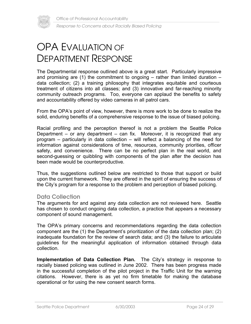

## OPA EVALUATION OF DEPARTMENT RESPONSE

The Departmental response outlined above is a great start. Particularly impressive and promising are (1) the commitment to ongoing  $-$  rather than limited duration  $$ data collection; (2) a training philosophy that integrates equitable and courteous treatment of citizens into all classes; and (3) innovative and far-reaching minority community outreach programs. Too, everyone can applaud the benefits to safety and accountability offered by video cameras in all patrol cars.

From the OPA's point of view, however, there is more work to be done to realize the solid, enduring benefits of a comprehensive response to the issue of biased policing.

Racial profiling and the perception thereof is not a problem the Seattle Police Department – or any department – can fix. Moreover, it is recognized that any program – particularly in data collection – will reflect a balancing of the need for information against considerations of time, resources, community priorities, officer safety, and convenience. There can be no perfect plan in the real world, and second-guessing or quibbling with components of the plan after the decision has been made would be counterproductive.

Thus, the suggestions outlined below are restricted to those that support or build upon the current framework. They are offered in the spirit of ensuring the success of the City's program for a response to the problem and perception of biased policing.

#### **Data Collection**

The arguments for and against any data collection are not reviewed here. Seattle has chosen to conduct ongoing data collection, a practice that appears a necessary component of sound management.

The OPA's primary concerns and recommendations regarding the data collection component are the (1) the Department's prioritization of the data collection plan; (2) inadequate foundation for the review of search data; and (3) the failure to articulate guidelines for the meaningful application of information obtained through data collection.

**Implementation of Data Collection Plan.** The City's strategy in response to racially biased policing was outlined in June 2002. There has been progress made in the successful completion of the pilot project in the Traffic Unit for the warning citations. However, there is as yet no firm timetable for making the database operational or for using the new consent search forms.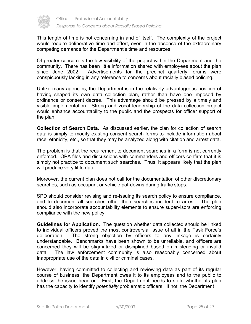

This length of time is not concerning in and of itself. The complexity of the project would require deliberative time and effort, even in the absence of the extraordinary competing demands for the Department's time and resources.

Of greater concern is the low visibility of the project within the Department and the community. There has been little information shared with employees about the plan since June 2002. Advertisements for the precinct quarterly forums were conspicuously lacking in any reference to concerns about racially biased policing.

Unlike many agencies, the Department is in the relatively advantageous position of having shaped its own data collection plan, rather than have one imposed by ordinance or consent decree. This advantage should be pressed by a timely and visible implementation. Strong and vocal leadership of the data collection project would enhance accountability to the public and the prospects for officer support of the plan.

**Collection of Search Data.** As discussed earlier, the plan for collection of search data is simply to modify existing consent search forms to include information about race, ethnicity, etc., so that they may be analyzed along with citation and arrest data.

The problem is that the requirement to document searches in a form is not currently enforced. OPA files and discussions with commanders and officers confirm that it is simply not practice to document such searches. Thus, it appears likely that the plan will produce very little data.

Moreover, the current plan does not call for the documentation of other discretionary searches, such as occupant or vehicle pat-downs during traffic stops.

SPD should consider revising and re-issuing its search policy to ensure compliance, and to document all searches other than searches incident to arrest. The plan should also incorporate accountability elements to ensure supervisors are enforcing compliance with the new policy.

**Guidelines for Application.** The question whether data collected should be linked to individual officers proved the most controversial issue of all in the Task Force's deliberation. The strong objection by officers to any linkage is certainly understandable. Benchmarks have been shown to be unreliable, and officers are concerned they will be stigmatized or disciplined based on misleading or invalid data. The law enforcement community is also reasonably concerned about inappropriate use of the data in civil or criminal cases.

However, having committed to collecting and reviewing data as part of its regular course of business, the Department owes it to its employees and to the public to address the issue head-on. First, the Department needs to state whether its plan has the capacity to identify *potentially* problematic officers. If not, the Department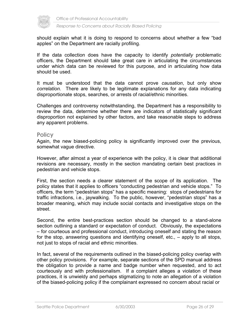

should explain what it is doing to respond to concerns about whether a few "bad apples" on the Department are racially profiling.

If the data collection does have the capacity to identify *potentially* problematic officers, the Department should take great care in articulating the circumstances under which data can be reviewed for this purpose, and in articulating how data should be used.

It must be understood that the data cannot prove *causation*, but only show *correlation*. There are likely to be legitimate explanations for any data indicating disproportionate stops, searches, or arrests of racial/ethnic minorities.

Challenges and controversy notwithstanding, the Department has a responsibility to review the data, determine whether there are indicators of statistically significant disproportion not explained by other factors, and take reasonable steps to address any apparent problems.

#### **Policy**

Again, the new biased-policing policy is significantly improved over the previous, somewhat vague directive.

However, after almost a year of experience with the policy, it is clear that additional revisions are necessary, mostly in the section mandating certain best practices in pedestrian and vehicle stops.

First, the section needs a clearer statement of the scope of its application. The policy states that it applies to officers "conducting pedestrian and vehicle stops." To officers, the term "pedestrian stops" has a specific meaning: stops of pedestrians for traffic infractions, i.e., jaywalking. To the public, however, "pedestrian stops" has a broader meaning, which may include social contacts and investigative stops on the street.

Second, the entire best-practices section should be changed to a stand-alone section outlining a standard or expectation of conduct. Obviously, the expectations – for courteous and professional conduct, introducing oneself and stating the reason for the stop, answering questions and identifying oneself, etc., – apply to all stops, not just to stops of racial and ethnic minorities.

In fact, several of the requirements outlined in the biased-policing policy overlap with other policy provisions. For example, separate sections of the SPD manual address the obligation to provide a name and badge number when requested, and to act courteously and with professionalism. If a complaint alleges a violation of these practices, it is unwieldy and perhaps stigmatizing to note an allegation of a violation of the biased-policing policy if the complainant expressed no concern about racial or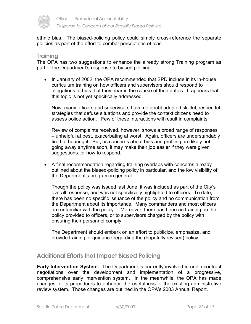

ethnic bias. The biased-policing policy could simply cross-reference the separate policies as part of the effort to combat perceptions of bias.

#### **Training**

The OPA has two suggestions to enhance the already strong Training program as part of the Department's response to biased policing:

• In January of 2002, the OPA recommended that SPD include in its in-house curriculum training on how officers and supervisors should respond to allegations of bias that they hear in the course of their duties. It appears that this topic is not yet specifically addressed.

Now, many officers and supervisors have no doubt adopted skillful, respectful strategies that defuse situations and provide the context citizens need to assess police action. Few of these interactions will result in complaints.

Review of complaints received, however, shows a broad range of responses – unhelpful at best, exacerbating at worst. Again, officers are understandably tired of hearing it. But, as concerns about bias and profiling are likely not going away anytime soon, it may make their job easier if they were given suggestions for how to respond.

• A final recommendation regarding training overlaps with concerns already outlined about the biased-policing policy in particular, and the low visibility of the Department's program in general.

Though the policy was issued last June, it was included as part of the City's overall response, and was not specifically highlighted to officers. To date, there has been no specific issuance of the policy and no communication from the Department about its importance. Many commanders and most officers are unfamiliar with the policy. Moreover, there has been no training on the policy provided to officers, or to supervisors charged by the policy with ensuring their personnel comply.

The Department should embark on an effort to publicize, emphasize, and provide training or guidance regarding the (hopefully revised) policy.

#### **Additional Efforts that Impact Biased Policing**

**Early Intervention System.** The Department is currently involved in union contract negotiations over the development and implementation of a progressive, comprehensive early intervention system. In the meanwhile, the OPA has made changes to its procedures to enhance the usefulness of the existing administrative review system. Those changes are outlined in the OPA's 2003 Annual Report.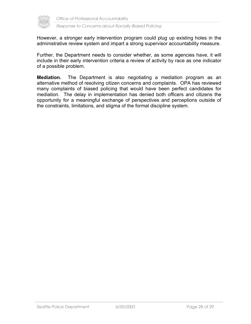

However, a stronger early intervention program could plug up existing holes in the administrative review system and impart a strong supervisor accountability measure.

Further, the Department needs to consider whether, as some agencies have, it will include in their early intervention criteria a review of activity by race as one indicator of a possible problem.

**Mediation.** The Department is also negotiating a mediation program as an alternative method of resolving citizen concerns and complaints. OPA has reviewed many complaints of biased policing that would have been perfect candidates for mediation. The delay in implementation has denied both officers and citizens the opportunity for a meaningful exchange of perspectives and perceptions outside of the constraints, limitations, and stigma of the formal discipline system.